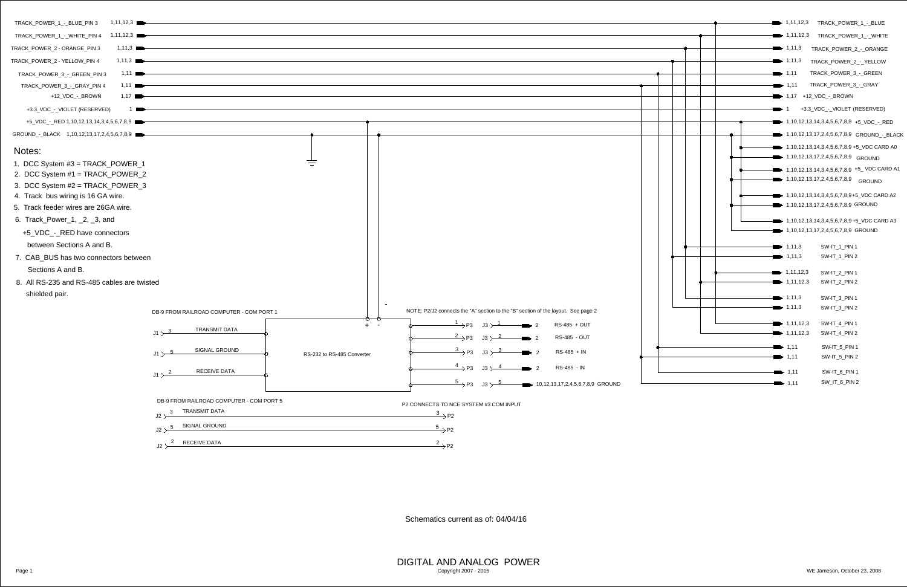| 1,11,12,3<br>TRACK_POWER_1_-_BLUE_PIN 3                       |                                                       |                                                            |                                                                                                     |                                               |  |
|---------------------------------------------------------------|-------------------------------------------------------|------------------------------------------------------------|-----------------------------------------------------------------------------------------------------|-----------------------------------------------|--|
|                                                               |                                                       |                                                            |                                                                                                     |                                               |  |
| 1,11,3<br>TRACK_POWER_2 - ORANGE_PIN 3                        |                                                       |                                                            |                                                                                                     |                                               |  |
| TRACK_POWER_2 - YELLOW_PIN 4<br>1,11,3                        |                                                       |                                                            |                                                                                                     |                                               |  |
| 1,11<br>TRACK_POWER_3_-_GREEN_PIN 3                           |                                                       |                                                            |                                                                                                     |                                               |  |
| 1,11<br>TRACK_POWER_3_-_GRAY_PIN 4                            |                                                       |                                                            |                                                                                                     |                                               |  |
| $1,17$ $\blacksquare$<br>+12_VDC_-_BROWN                      |                                                       |                                                            |                                                                                                     |                                               |  |
| +3.3_VDC_-_VIOLET (RESERVED)<br><b>START</b>                  |                                                       |                                                            |                                                                                                     |                                               |  |
| +5_VDC_-_RED 1,10,12,13,14,3,4,5,6,7,8,9                      |                                                       |                                                            |                                                                                                     |                                               |  |
| GROUND_-_BLACK 1,10,12,13,17,2,4,5,6,7,8,9                    |                                                       |                                                            |                                                                                                     |                                               |  |
| Notes:                                                        |                                                       |                                                            |                                                                                                     |                                               |  |
| 1. DCC System #3 = TRACK_POWER_1                              |                                                       |                                                            |                                                                                                     |                                               |  |
| 2. DCC System #1 = TRACK_POWER_2                              |                                                       |                                                            |                                                                                                     |                                               |  |
| 3. DCC System #2 = TRACK_POWER_3                              |                                                       |                                                            |                                                                                                     |                                               |  |
| 4. Track bus wiring is 16 GA wire.                            |                                                       |                                                            |                                                                                                     |                                               |  |
| 5. Track feeder wires are 26GA wire.                          |                                                       |                                                            |                                                                                                     |                                               |  |
| 6. Track_Power_1, _2, _3, and                                 |                                                       |                                                            |                                                                                                     |                                               |  |
| +5_VDC_-_RED have connectors                                  |                                                       |                                                            |                                                                                                     |                                               |  |
| between Sections A and B.                                     |                                                       |                                                            |                                                                                                     |                                               |  |
| 7. CAB_BUS has two connectors between                         |                                                       |                                                            |                                                                                                     |                                               |  |
| Sections A and B.                                             |                                                       |                                                            |                                                                                                     |                                               |  |
| 8. All RS-235 and RS-485 cables are twisted<br>shielded pair. |                                                       |                                                            |                                                                                                     |                                               |  |
|                                                               | DB-9 FROM RAILROAD COMPUTER - COM PORT 1              |                                                            | NOTE: P2/J2 connects the "A" section to the "B" section of the layout. See page 2                   |                                               |  |
|                                                               | <b>TRANSMIT DATA</b>                                  | $\overline{\mathbb{C}}$ $\overline{\mathbb{C}}$<br>$+$ $-$ | $\mathsf{\stackrel{1}{\longrightarrow}}$ P3 $\quad$ J3 $\succ$ $\mathsf{\stackrel{1}{\rightarrow}}$ | RS-485 + OUT<br>$\rightarrow$ 2               |  |
|                                                               | $J1 > \frac{3}{2}$                                    |                                                            | $\overline{\longrightarrow}$ P3 J3 $\overline{\longrightarrow}$ 2                                   | <b>RS-485 - OUT</b><br>$\rightarrow$ 2        |  |
|                                                               | <b>SIGNAL GROUND</b><br>$J1 > \frac{5}{2}$            | RS-232 to RS-485 Converter                                 |                                                                                                     | $\frac{3}{2}$ P3 J3 $\frac{3}{2}$ RS-485 + IN |  |
|                                                               | <b>RECEIVE DATA</b><br>$J1 > \frac{2}{3}$             |                                                            | $\longrightarrow P3$ $J3 \rightarrow 4$                                                             | $\rightarrow$ 2 RS-485 - IN                   |  |
|                                                               |                                                       |                                                            | $\overline{\longrightarrow}$ P3 J3 $\overline{\longrightarrow}$                                     | $-$ 10,12,13,17,2,4,5,6,7,8,9 GROUND          |  |
|                                                               | DB-9 FROM RAILROAD COMPUTER - COM PORT 5              |                                                            | P2 CONNECTS TO NCE SYSTEM #3 COM INPUT                                                              |                                               |  |
|                                                               | TRANSMIT DATA<br>$\overline{\mathbf{3}}$<br>J2 >      |                                                            | $\frac{3}{2}$ P2                                                                                    |                                               |  |
|                                                               | <b>SIGNAL GROUND</b><br>J2 $\rightarrow$ $\frac{5}{}$ |                                                            | $\overline{\hspace{1mm}^{5}}\hspace{1mm}$ P2                                                        |                                               |  |
|                                                               | $\mathsf{J2}\searrow\frac{2}\mathsf{RECEIVE DATA}$    |                                                            | $\frac{2}{2}$ P2                                                                                    |                                               |  |

- <span id="page-0-6"></span>
- 
- 
- 
- 
- 

- 
- 

<span id="page-0-7"></span>

<span id="page-0-8"></span><span id="page-0-5"></span><span id="page-0-4"></span><span id="page-0-3"></span><span id="page-0-2"></span><span id="page-0-1"></span><span id="page-0-0"></span>

|               |  |  | 1, 11, 12, 3                          | TRACK_POWER_1_-_BLUE                                     |  |
|---------------|--|--|---------------------------------------|----------------------------------------------------------|--|
|               |  |  | 1,11,12,3                             | TRACK_POWER_1_-_WHITE                                    |  |
|               |  |  | $\bullet$ 1,11,3                      | TRACK_POWER_2_-_ORANGE                                   |  |
|               |  |  | $\bullet$ 1,11,3                      | TRACK_POWER_2_-_YELLOW                                   |  |
|               |  |  | $\bullet$ 1,11                        | TRACK_POWER_3_-_GREEN                                    |  |
|               |  |  | $\blacktriangleright$ 1,11            | TRACK_POWER_3_-_GRAY                                     |  |
|               |  |  | $\rightarrow$ 1,17 +12_VDC_-_BROWN    |                                                          |  |
|               |  |  | $\overline{1}$                        | +3.3_VDC_-_VIOLET (RESERVED)                             |  |
|               |  |  |                                       | $1,10,12,13,14,3,4,5,6,7,8,9$ +5 VDC - RED               |  |
|               |  |  |                                       | $\rightarrow$ 1,10,12,13,17,2,4,5,6,7,8,9 GROUND_-_BLACK |  |
|               |  |  |                                       | 1,10,12,13,14,3,4,5,6,7,8,9 +5_VDC CARD A0               |  |
|               |  |  |                                       | 1,10,12,13,17,2,4,5,6,7,8,9 GROUND                       |  |
|               |  |  |                                       | 1, 10, 12, 13, 14, 3, 4, 5, 6, 7, 8, 9 + 5 VDC CARD A1   |  |
|               |  |  | $\bullet$ 1,10,12,13,17,2,4,5,6,7,8,9 | <b>GROUND</b>                                            |  |
|               |  |  |                                       | 1, 10, 12, 13, 14, 3, 4, 5, 6, 7, 8, 9+5 VDC CARD A2     |  |
|               |  |  |                                       | 1,10,12,13,17,2,4,5,6,7,8,9 GROUND                       |  |
|               |  |  |                                       | 1,10,12,13,14,3,4,5,6,7,8,9+5_VDC CARD A3                |  |
|               |  |  |                                       | 1,10,12,13,17,2,4,5,6,7,8,9 GROUND                       |  |
|               |  |  | 1, 11, 3                              | <b>SW-IT_1_PIN 1</b>                                     |  |
|               |  |  | 1, 11, 3                              | $SW-IT_1_PIN2$                                           |  |
|               |  |  |                                       |                                                          |  |
|               |  |  | 1, 11, 12, 3<br>1, 11, 12, 3          | <b>SW-IT_2_PIN1</b><br>$SW-IT_2_PIN_2$                   |  |
|               |  |  |                                       |                                                          |  |
|               |  |  | 1, 11, 3                              | $SW-IT_3_PIN_1$                                          |  |
| page 2        |  |  | 1, 11, 3                              | SW-IT_3_PIN 2                                            |  |
| <b>TUC</b>    |  |  | 1, 11, 12, 3                          | SW-IT_4_PIN 1                                            |  |
| <b>JUT</b>    |  |  | 1, 11, 12, 3                          | SW-IT_4_PIN 2                                            |  |
| IN.           |  |  | 1,11                                  | <b>SW-IT_5_PIN1</b>                                      |  |
|               |  |  | 1,11                                  | SW-IT_5_PIN 2                                            |  |
| N             |  |  | 1,11                                  | SW-IT_6_PIN 1                                            |  |
| ,7,8,9 GROUND |  |  | 1,11                                  | SW_IT_6_PIN 2                                            |  |

DIGITAL AND ANALOG POWER Page 1 WE Jameson, October 23, 2008 Copyright 2007 - 2016

Schematics current as of: 04/04/16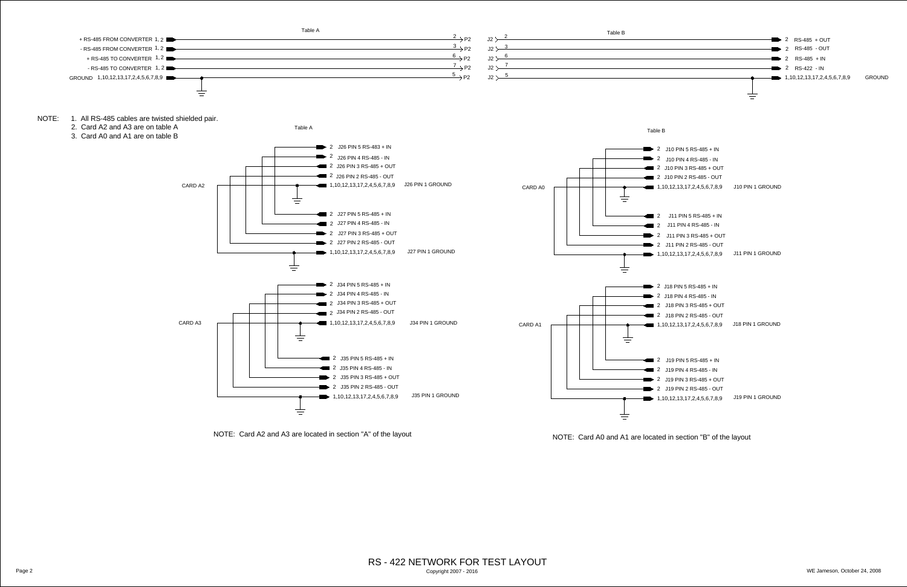<span id="page-1-0"></span>

|                                                   | Table A |                                       |                              | Table B |                                   |
|---------------------------------------------------|---------|---------------------------------------|------------------------------|---------|-----------------------------------|
|                                                   |         | $\mathsf{P}^2 \rightarrow \mathsf{P}$ | $\mathsf{I} \cap \mathsf{I}$ |         | $-$ 2 RS-485 + O                  |
|                                                   |         | $\frac{3}{2}$ P2                      | 12 <sup>5</sup>              |         | $-2$ RS-485 - O                   |
| $\overline{\phantom{a}}$ $\overline{\phantom{a}}$ |         | $\Delta$ P2                           | J2 >                         |         | $-2$ RS-485 + IN                  |
| $2 \blacksquare$                                  |         | $\rightarrow$ P2                      | $J2^+$                       |         | $-$ 2 RS-422 - IN                 |
|                                                   |         | $\sim$ D2                             | J2 >                         |         | $\longrightarrow 1,10,12,13,17,2$ |

<span id="page-1-2"></span>

|                    | 2 $\succ$ 2 $-$                                                                                                                                                                                                                                                                                                                                                                                                            |  |
|--------------------|----------------------------------------------------------------------------------------------------------------------------------------------------------------------------------------------------------------------------------------------------------------------------------------------------------------------------------------------------------------------------------------------------------------------------|--|
|                    | 2 $>$ 3                                                                                                                                                                                                                                                                                                                                                                                                                    |  |
|                    | 2 $\rightarrow$ 6                                                                                                                                                                                                                                                                                                                                                                                                          |  |
|                    | 2 $>$ $\overline{ }$ $\overline{ }$ $\overline{ }$ $\overline{ }$ $\overline{ }$ $\overline{ }$ $\overline{ }$ $\overline{ }$ $\overline{ }$ $\overline{ }$ $\overline{ }$ $\overline{ }$ $\overline{ }$ $\overline{ }$ $\overline{ }$ $\overline{ }$ $\overline{ }$ $\overline{ }$ $\overline{ }$ $\overline{ }$ $\overline{ }$ $\overline{ }$ $\overline{ }$ $\overline{ }$ $\overline{ }$ $\overline{ }$ $\overline{ }$ |  |
| 2 $>$ $\frac{5}{}$ |                                                                                                                                                                                                                                                                                                                                                                                                                            |  |
|                    |                                                                                                                                                                                                                                                                                                                                                                                                                            |  |

<span id="page-1-3"></span>

- NOTE: 1. All RS-485 cables are twisted shielded pair.
	- 2. Card A2 and A3 are on table A
	- 3. Card A0 and A1 are on table B



NOTE: Card A2 and A3 are located in section "A" of the layout



| J19 PIN 5 RS-485 + IN    |                  |
|--------------------------|------------------|
| J19 PIN 4 RS-485 - IN    |                  |
| J19 PIN 3 RS-485 + OUT   |                  |
| J19 PIN 2 RS-485 - OUT   |                  |
| 0,12,13,17,2,4,5,6,7,8,9 | J19 PIN 1 GROUND |

| J11 PIN 5 RS-485 + IN    |                  |
|--------------------------|------------------|
| J11 PIN 4 RS-485 - IN    |                  |
| J11 PIN 3 RS-485 + OUT   |                  |
|                          |                  |
| 0,12,13,17,2,4,5,6,7,8,9 | J11 PIN 1 GROUND |

<span id="page-1-4"></span>

| J10 PIN 5 RS-485 + IN    |                  |
|--------------------------|------------------|
| J10 PIN 4 RS-485 - IN    |                  |
| J10 PIN 3 RS-485 + OUT   |                  |
| J10 PIN 2 RS-485 - OUT   |                  |
| 0,12,13,17,2,4,5,6,7,8,9 | J10 PIN 1 GROUND |
|                          |                  |

<span id="page-1-1"></span>

| J18 PIN 5 RS-485 + IN    |                  |
|--------------------------|------------------|
| J18 PIN 4 RS-485 - IN    |                  |
| J18 PIN 3 RS-485 + OUT   |                  |
| J18 PIN 2 RS-485 - OUT   |                  |
| 0,12,13,17,2,4,5,6,7,8,9 | J18 PIN 1 GROUND |

NOTE: Card A0 and A1 are located in section "B" of the layout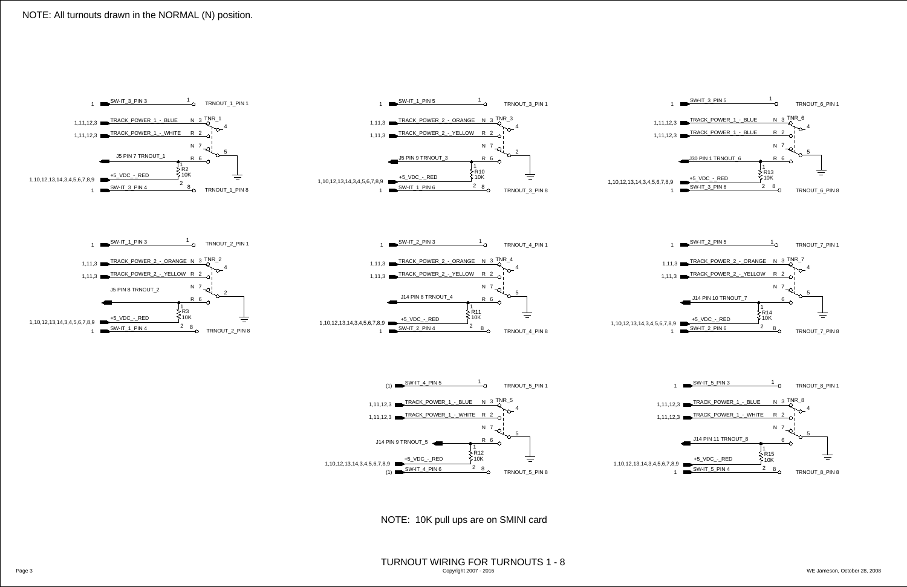Page 3 WE Jameson, October 28, 2008 TURNOUT WIRING FOR TURNOUTS 1 - 8 Copyright 2007 - 2016

<span id="page-2-12"></span><span id="page-2-9"></span><span id="page-2-4"></span><span id="page-2-3"></span><span id="page-2-2"></span><span id="page-2-1"></span><span id="page-2-0"></span>

<span id="page-2-22"></span><span id="page-2-21"></span><span id="page-2-19"></span><span id="page-2-18"></span><span id="page-2-17"></span><span id="page-2-14"></span><span id="page-2-13"></span><span id="page-2-10"></span><span id="page-2-8"></span><span id="page-2-7"></span><span id="page-2-5"></span>

## NOTE: All turnouts drawn in the NORMAL (N) position.

<span id="page-2-23"></span><span id="page-2-20"></span><span id="page-2-16"></span><span id="page-2-15"></span><span id="page-2-11"></span><span id="page-2-6"></span>NOTE: 10K pull ups are on SMINI card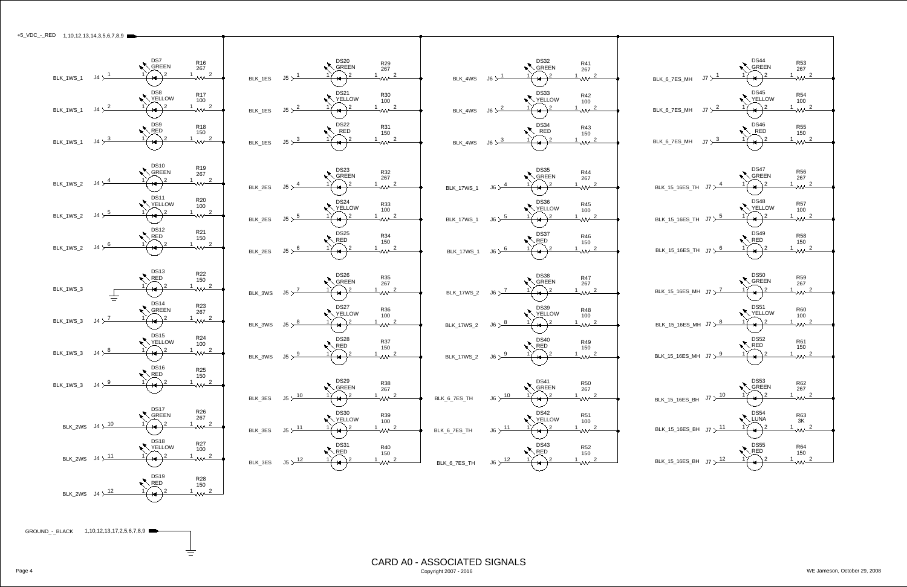<span id="page-3-0"></span>

 $\equiv$ 

CARD A0 - ASSOCIATED SIGNALS Page 4 WE Jameson, October 29, 2008 Copyright 2007 - 2016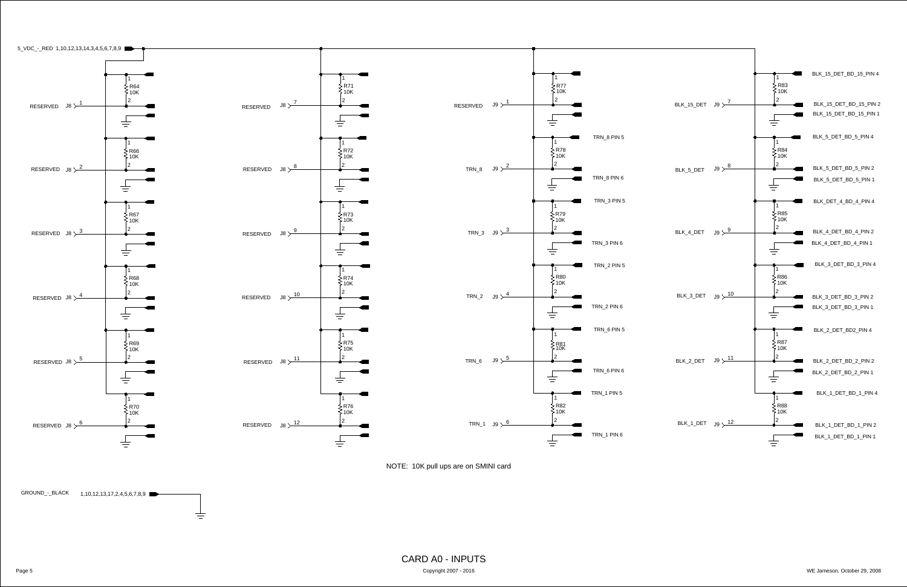

<span id="page-4-0"></span>



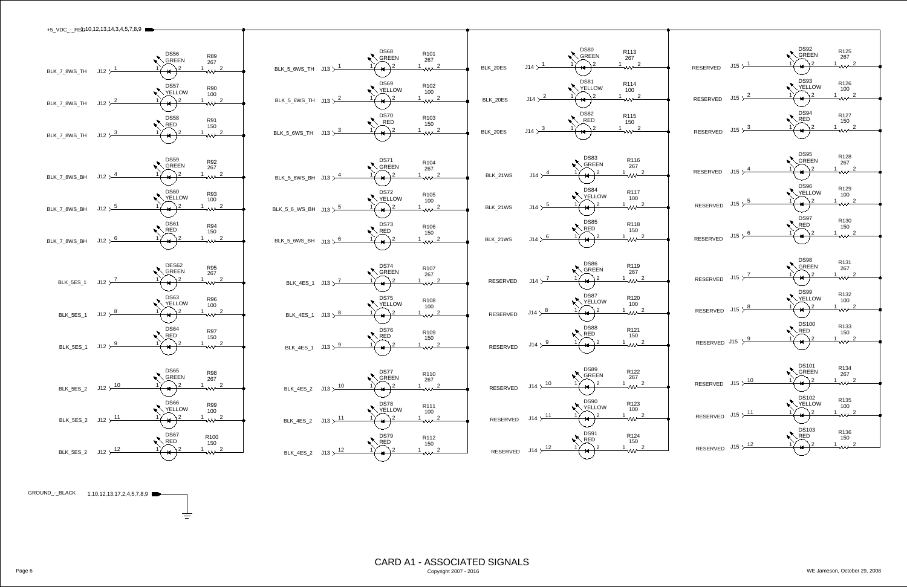<span id="page-5-1"></span>GROUND\_[-\\_BLACK](#page-6-0) 1,10,12,13,17,2,4,5,7,8,9  $\equiv$ 



<span id="page-5-0"></span>

Page 6 WE Jameson, October 29, 2008 CARD A1 - ASSOCIATED SIGNALS Copyright 2007 - 2016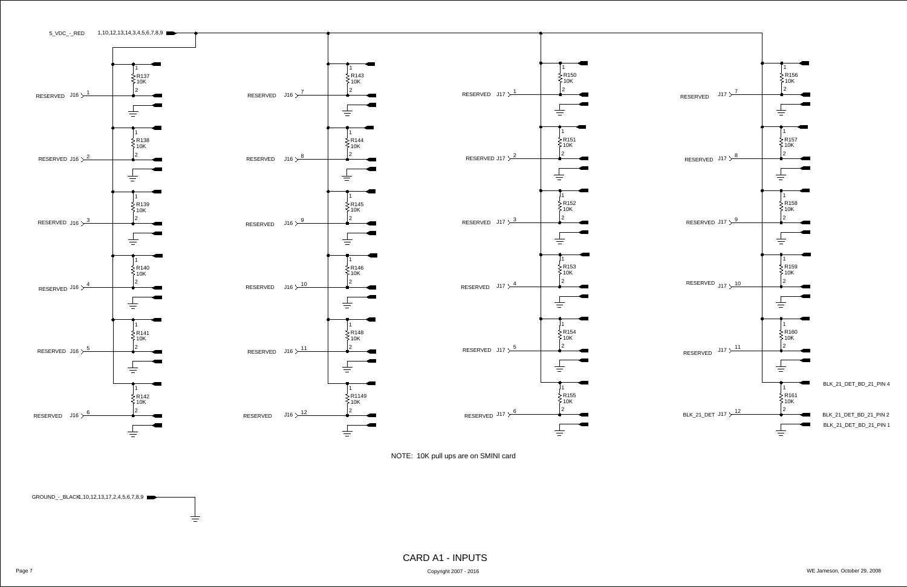<span id="page-6-0"></span>









Copyright 2007 - 2016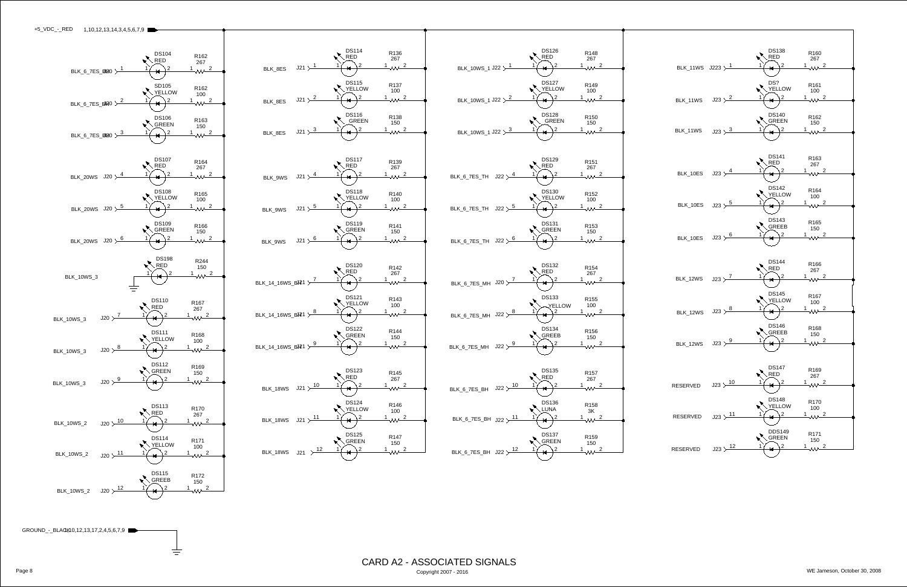<span id="page-7-0"></span>

<span id="page-7-1"></span>GR[OUND\\_-\\_BLACK](#page-8-0)10,12,13,17,2,4,5,6,7,9

 $\equiv$ 





CARD A2 - ASSOCIATED SIGNALS Copyright 2007 - 2016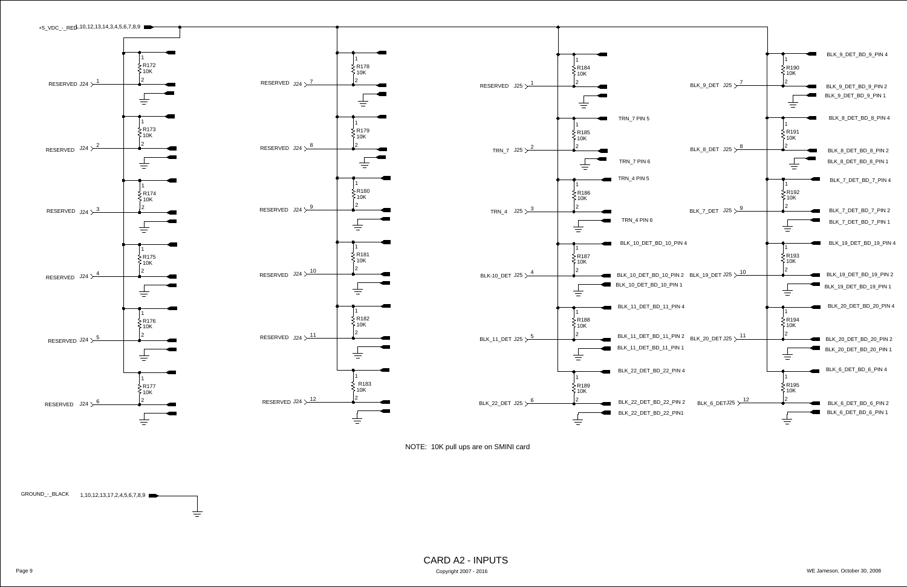<span id="page-8-1"></span>

<span id="page-8-0"></span>

Page 9 WE Jameson, October 30, 2008 CARD A2 - INPUTS Copyright 2007 - 2016

NOTE: 10K pull ups are on SMINI card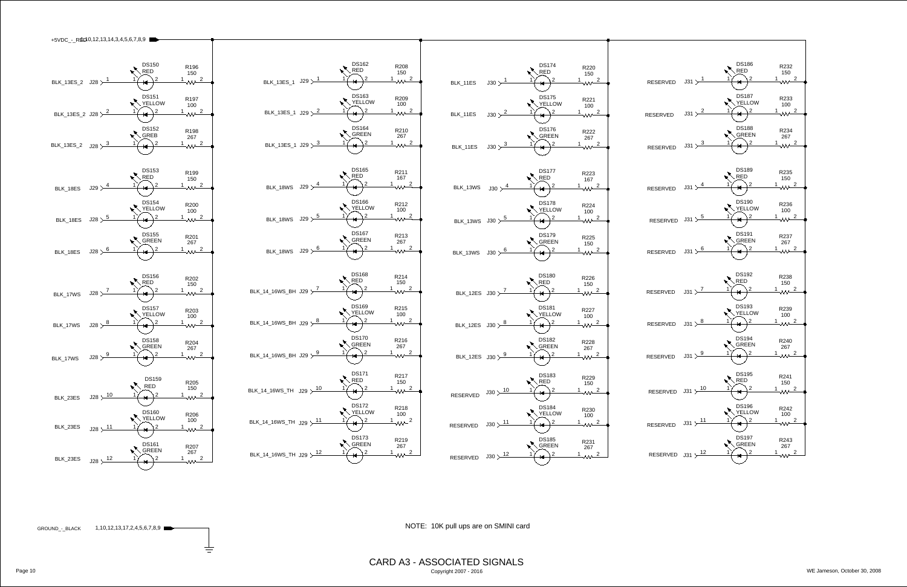|                          | +5VDC_-_RED0,12,13,14,3,4,5,6,7,8,9 |                                 |                         |                                                             |
|--------------------------|-------------------------------------|---------------------------------|-------------------------|-------------------------------------------------------------|
|                          |                                     |                                 |                         |                                                             |
|                          |                                     |                                 |                         |                                                             |
|                          |                                     | <b>DS150</b><br><b>RED</b>      | R <sub>196</sub>        |                                                             |
|                          |                                     | 2                               | 150<br>$\overline{2}$   |                                                             |
| <b>BLK_13ES_2</b>        | $\sqrt{28}$ $\frac{1}{2}$           |                                 |                         | BLK_13ES_1 $J29$ $\frac{1}{2}$                              |
|                          |                                     | <b>DS151</b>                    | R <sub>197</sub>        |                                                             |
|                          |                                     | <b>YELLOW</b>                   | 100                     |                                                             |
| BLK_13ES_2 J28 $\succ^2$ |                                     | $\overline{2}$                  | $\sim 2$                | BLK_13ES_1 J29 $\succ^2$                                    |
|                          |                                     | <b>DS152</b>                    |                         |                                                             |
|                          |                                     | <b>GREB</b>                     | R <sub>198</sub><br>267 |                                                             |
| BLK_13ES_2               | J28 $\times$ $\frac{3}{5}$          |                                 | $\lambda$ 2             | BLK_13ES_1 J29 $\times$ $\frac{3}{2}$                       |
|                          |                                     |                                 |                         |                                                             |
|                          |                                     |                                 |                         |                                                             |
|                          |                                     | <b>DS153</b><br><b>RED</b>      | R <sub>199</sub><br>150 |                                                             |
| BLK_18ES                 | J29 $\times$ $\frac{4}{3}$          | 2                               | $\overline{2}$          | J29 ><br>BLK_18WS                                           |
|                          |                                     |                                 |                         |                                                             |
|                          |                                     | <b>DS154</b><br><b>YELLOW</b>   | R200                    |                                                             |
|                          | J28 > 5                             | 2                               | 100<br>$\sqrt{2}$       | BLK_18WS $\sqrt{5}$                                         |
| BLK_18ES                 |                                     |                                 |                         |                                                             |
|                          |                                     | <b>DS155</b>                    | R201                    |                                                             |
|                          |                                     | <b>GREEN</b><br>2               | 267                     |                                                             |
| BLK_18ES                 | J28 > 6                             |                                 | $\sim$ 2                | BLK_18WS $\sqrt{3}$ J29 $\times$                            |
|                          |                                     |                                 |                         |                                                             |
|                          |                                     | <b>DS156</b>                    | R202                    |                                                             |
|                          |                                     | <b>RED</b>                      | 150                     |                                                             |
| BLK_17WS                 | J28 $\times$ $\frac{7}{ }$          | 2                               | $\overline{2}$          | BLK_14_16WS_BH J29 $\succ$                                  |
|                          |                                     | <b>DS157</b>                    |                         |                                                             |
|                          |                                     | <b>YELLOW</b>                   | R203<br>100             |                                                             |
| BLK_17WS                 | $J28 \searrow 8$                    | 2                               | $\sqrt{2}$              | BLK_14_16WS_BH J29 $\succ$ <sup>8</sup>                     |
|                          |                                     |                                 |                         |                                                             |
|                          |                                     | <b>DS158</b><br><b>GREEN</b>    | R204<br>267             |                                                             |
| BLK_17WS                 | J28 > 9                             | ਚ                               | $\sim$ 2                | BLK_14_16WS_BH J29 $\succ^9$                                |
|                          |                                     |                                 |                         |                                                             |
|                          |                                     |                                 |                         |                                                             |
|                          |                                     | <b>DS159</b><br><b>RED</b>      | R205<br>150             |                                                             |
| BLK_23ES                 | $J28 \searrow 10$                   | 2                               | 1 $\sim$ 2              | BLK_14_16WS_TH $\left  \right $ J29 $\times$ $\frac{10}{2}$ |
|                          |                                     |                                 |                         |                                                             |
|                          |                                     | <b>DS160</b>                    | R206                    |                                                             |
| BLK_23ES                 | J28 > 11                            | <b>YELLOW</b><br>$\overline{2}$ | 100<br>$\sim$ 2         | BLK_14_16WS_TH $\left  \right $ J29 $\times$ $\frac{11}{2}$ |
|                          |                                     |                                 |                         |                                                             |
|                          |                                     | <b>DS161</b>                    | R <sub>207</sub>        |                                                             |
|                          |                                     | <b>GREEN</b>                    | 267                     | BLK_14_16WS_TH J29 $\times$ 12                              |
| BLK_23ES                 | J28 > 12                            | 2                               | $\sim$ 2                |                                                             |
|                          |                                     |                                 |                         |                                                             |

 $\frac{1}{\sqrt{-1}}$ 

Page 10 Copyright 2007 - 2016 CARD A3 - ASSOCIATED SIGNALS

<span id="page-9-0"></span>[1,10,12](#page-12-1),13,17,2,4,5,6,7,8,9 GROUND\_-\_BLACK



NOTE: 10K pull ups are on SMINI card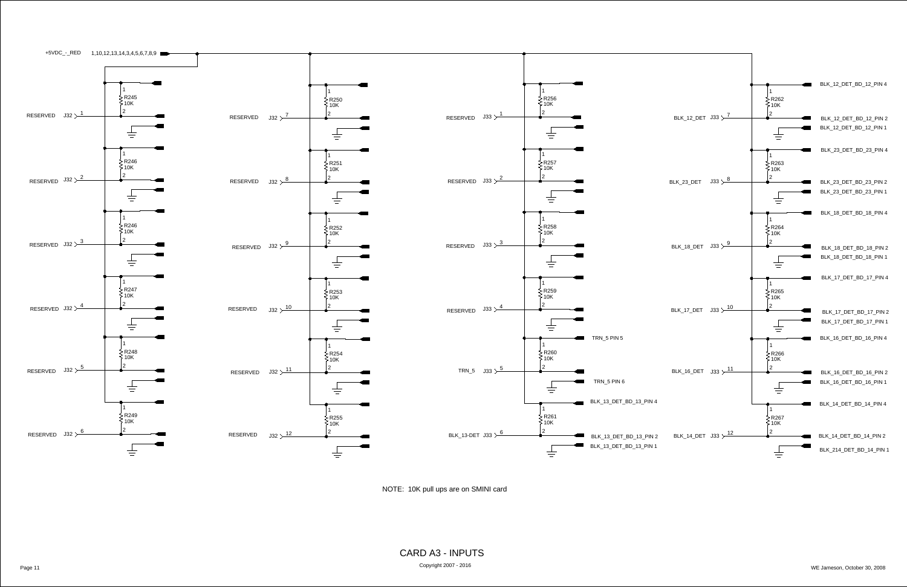



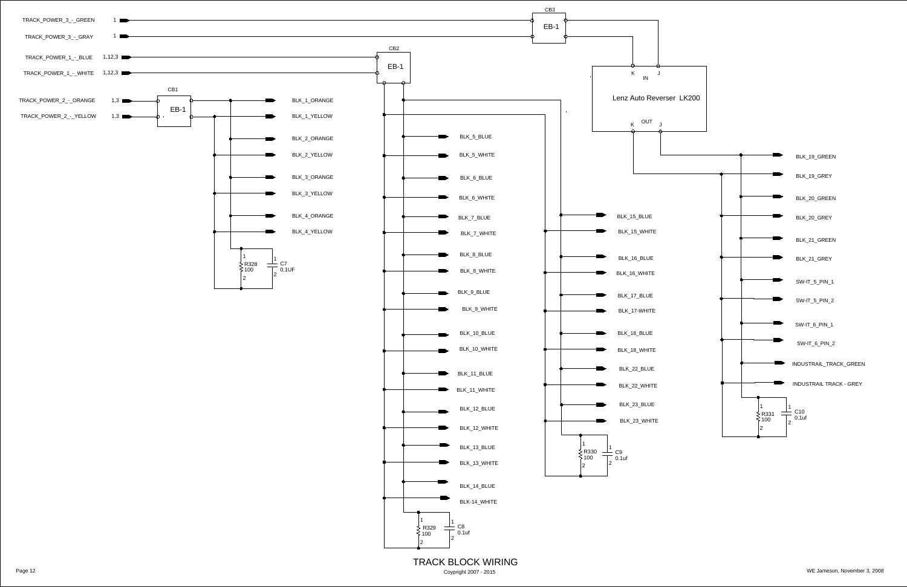<span id="page-11-5"></span><span id="page-11-4"></span><span id="page-11-3"></span><span id="page-11-2"></span><span id="page-11-1"></span><span id="page-11-0"></span>

Coypright 2007 - 2015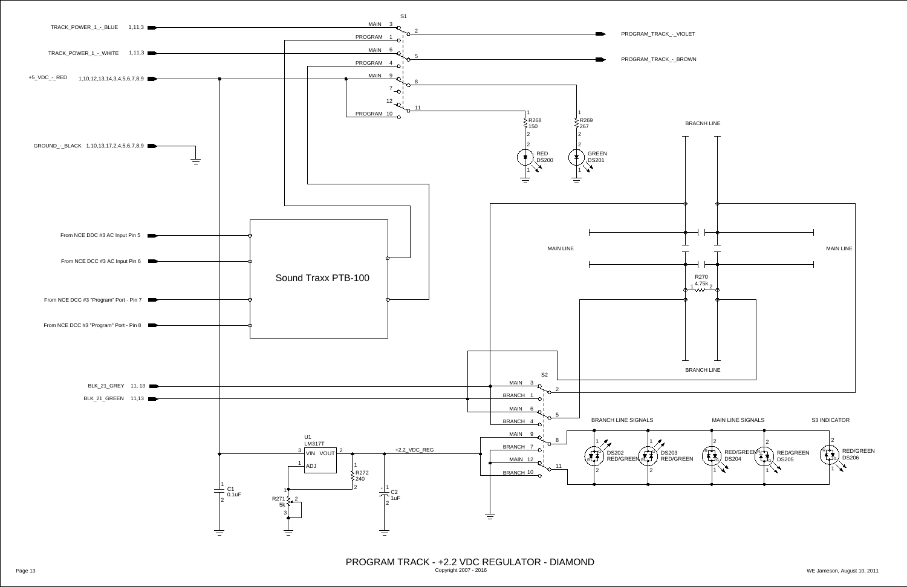<span id="page-12-3"></span><span id="page-12-2"></span><span id="page-12-1"></span><span id="page-12-0"></span>

Page 13 WE Jameson, August 10, 2011 PROGRAM TRACK - +2.2 VDC REGULATOR - DIAMOND Copyright 2007 - 2016

<span id="page-12-5"></span><span id="page-12-4"></span>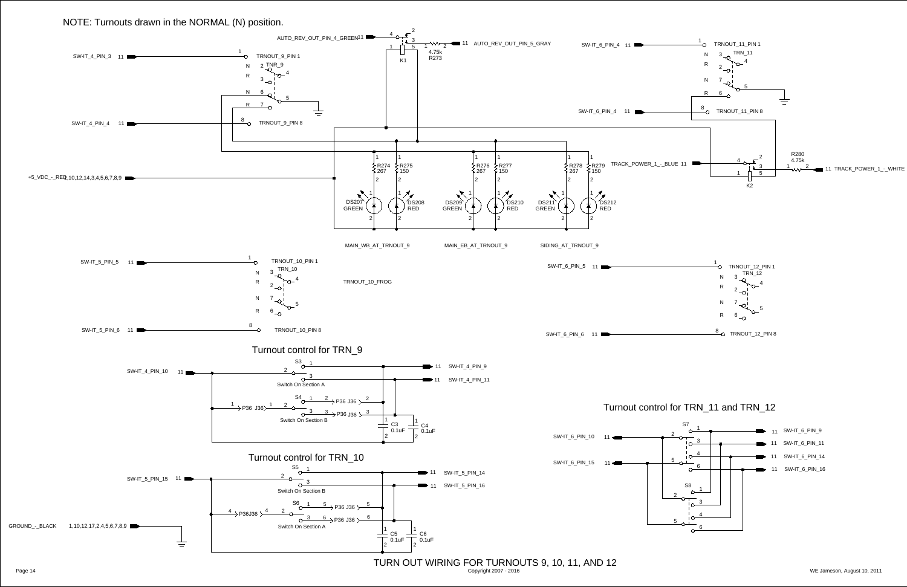<span id="page-13-0"></span>

## NOTE: Turnouts drawn in the NORMAL (N) position.

Copyright 2007 - 2016

<span id="page-13-1"></span>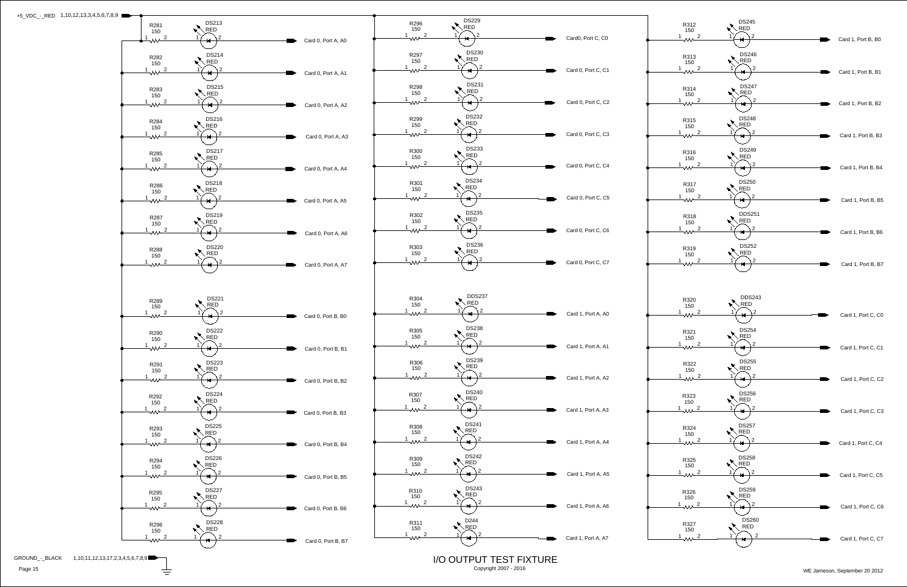<span id="page-14-0"></span>

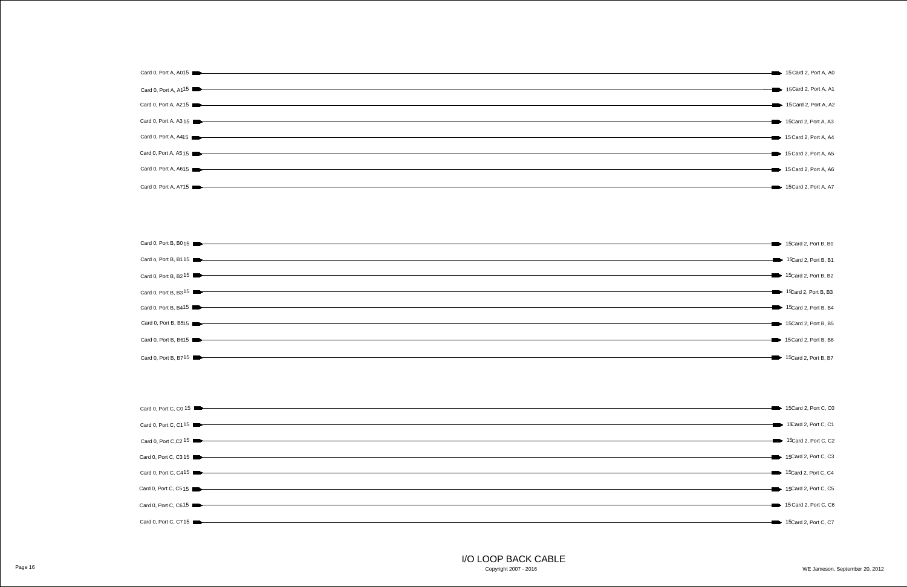| Card 0, Port A, A015      |
|---------------------------|
|                           |
| Card 0, Port A, $A1^{15}$ |
| Card 0, Port A, A215      |
|                           |
| Card 0, Port A, A315      |
|                           |
| Card 0, Port A, A415      |
|                           |
| Card 0, Port A, A515      |
|                           |
|                           |
| Card 0, Port A, A615      |
|                           |
| Card 0, Port A, A715      |
|                           |

I/O LOOP BACK CABLE

Copyright 2007 - 2016



| Card 0, Port C, C0 15                                                                          |
|------------------------------------------------------------------------------------------------|
|                                                                                                |
| Card 0, Port C, C115                                                                           |
|                                                                                                |
| Card 0, Port C,C2 15                                                                           |
|                                                                                                |
| Card 0, Port C, C3 15                                                                          |
|                                                                                                |
| Card 0, Port C, C415                                                                           |
|                                                                                                |
| Card 0, Port C, C515                                                                           |
|                                                                                                |
| Card 0, Port C, C615                                                                           |
|                                                                                                |
| <u> 1989 - Johann Barn, fransk politik formuler (d. 1989)</u><br>Card 0, Port C, C715 <b>I</b> |
|                                                                                                |

|                       | 15 Card 2, Port A, A0                   |
|-----------------------|-----------------------------------------|
|                       | 15Card 2, Port A, A1                    |
|                       | 15 Card 2, Port A, A2                   |
|                       | 15Card 2, Port A, A3                    |
|                       | $\longrightarrow$ 15 Card 2, Port A, A4 |
| $\blacktriangleright$ | 15 Card 2, Port A, A5                   |
| $\rightarrow$         | 15 Card 2, Port A, A6                   |
|                       | 15 Card 2, Port A, A7                   |
|                       |                                         |



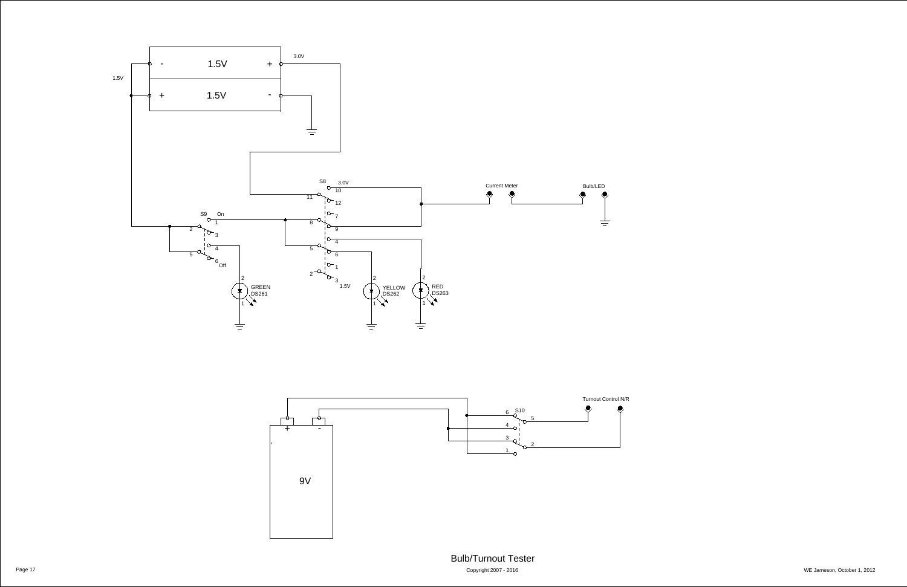<span id="page-16-0"></span>